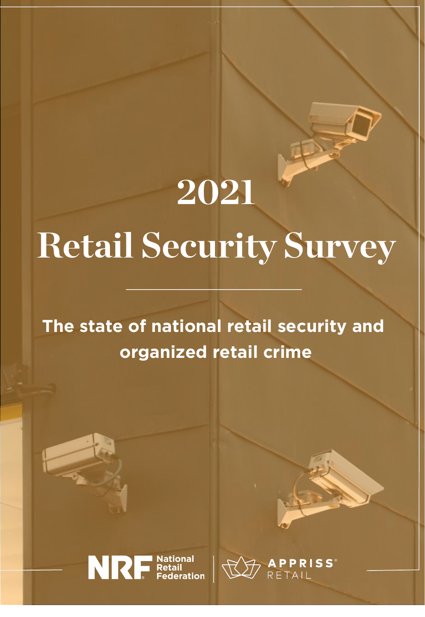# 2021 Retail Security Survey

**The state of national retail security and organized retail crime**



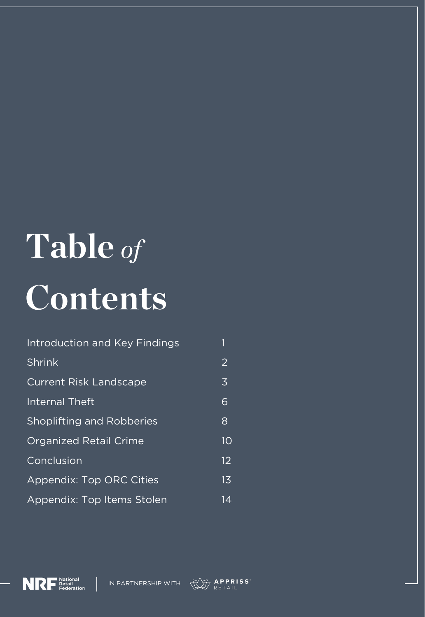# Table of Contents

| Introduction and Key Findings    |                |
|----------------------------------|----------------|
| Shrink                           | $\overline{2}$ |
| <b>Current Risk Landscape</b>    | $\overline{3}$ |
| <b>Internal Theft</b>            | 6              |
| <b>Shoplifting and Robberies</b> | 8              |
| <b>Organized Retail Crime</b>    | 10             |
| Conclusion                       | 12             |
| <b>Appendix: Top ORC Cities</b>  | 1 <sub>3</sub> |
| Appendix: Top Items Stolen       | 14             |



IN PARTNERSHIP WITH

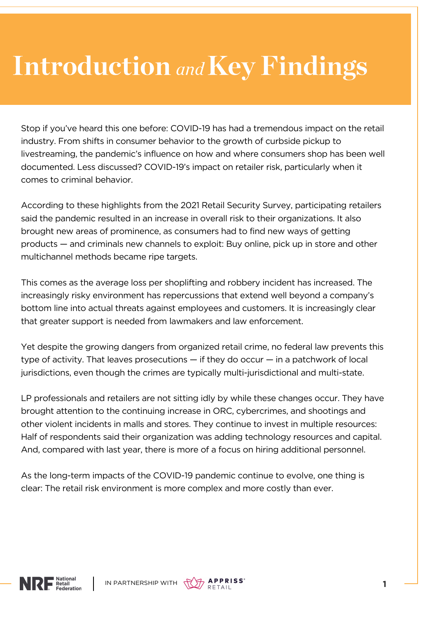### Introduction and Key Findings

Stop if you've heard this one before: COVID-19 has had a tremendous impact on the retail industry. From shifts in consumer behavior to the growth of curbside pickup to livestreaming, the pandemic's influence on how and where consumers shop has been well documented. Less discussed? COVID-19's impact on retailer risk, particularly when it comes to criminal behavior.

According to these highlights from the 2021 Retail Security Survey, participating retailers said the pandemic resulted in an increase in overall risk to their organizations. It also brought new areas of prominence, as consumers had to find new ways of getting products — and criminals new channels to exploit: Buy online, pick up in store and other multichannel methods became ripe targets.

This comes as the average loss per shoplifting and robbery incident has increased. The increasingly risky environment has repercussions that extend well beyond a company's bottom line into actual threats against employees and customers. It is increasingly clear that greater support is needed from lawmakers and law enforcement.

Yet despite the growing dangers from organized retail crime, no federal law prevents this type of activity. That leaves prosecutions  $-$  if they do occur  $-$  in a patchwork of local jurisdictions, even though the crimes are typically multi-jurisdictional and multi-state.

LP professionals and retailers are not sitting idly by while these changes occur. They have brought attention to the continuing increase in ORC, cybercrimes, and shootings and other violent incidents in malls and stores. They continue to invest in multiple resources: Half of respondents said their organization was adding technology resources and capital. And, compared with last year, there is more of a focus on hiring additional personnel.

As the long-term impacts of the COVID-19 pandemic continue to evolve, one thing is clear: The retail risk environment is more complex and more costly than ever.



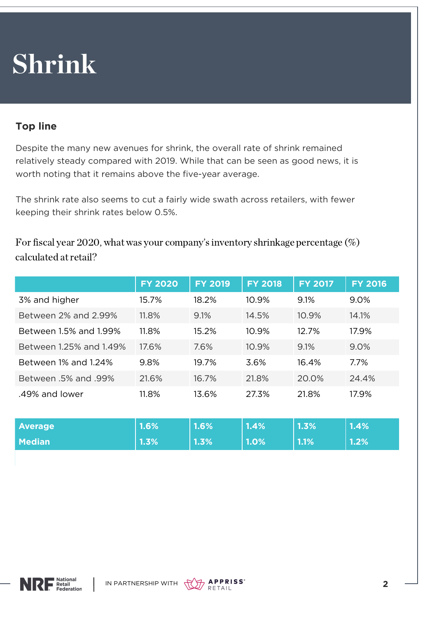### Shrink

#### **Top line**

Despite the many new avenues for shrink, the overall rate of shrink remained relatively steady compared with 2019. While that can be seen as good news, it is worth noting that it remains above the five-year average.

The shrink rate also seems to cut a fairly wide swath across retailers, with fewer keeping their shrink rates below 0.5%.

For fiscal year 2020, what was your company's inventory shrinkage percentage  $(\%)$ calculated at retail?

|                             | <b>FY 2020</b> | <b>FY 2019</b> | <b>FY 2018</b> | <b>FY 2017</b> | <b>FY 2016</b> |
|-----------------------------|----------------|----------------|----------------|----------------|----------------|
| 3% and higher               | 15.7%          | 18.2%          | 10.9%          | 9.1%           | 9.0%           |
| Between 2% and 2.99%        | 11.8%          | 9.1%           | 14.5%          | 10.9%          | 14.1%          |
| Between 1.5% and 1.99%      | 11.8%          | 15.2%          | 10.9%          | 12.7%          | 17.9%          |
| Between 1.25% and 1.49%     | 17.6%          | 7.6%           | 10.9%          | 9.1%           | 9.0%           |
| Between 1% and 1.24%        | 9.8%           | 19.7%          | 3.6%           | 16.4%          | 7.7%           |
| <b>Between .5% and .99%</b> | 21.6%          | 16.7%          | 21.8%          | 20.0%          | 24.4%          |
| .49% and lower              | 11.8%          | 13.6%          | 27.3%          | 21.8%          | 17.9%          |

| <b>Average</b> | 1.6% | 1.6% | $1.4\%$ | 1.3% | $1.4\%$ |
|----------------|------|------|---------|------|---------|
| <b>Median</b>  | 1.3% | 1.3% | 1.0%    | 1.1% | 1.2%    |



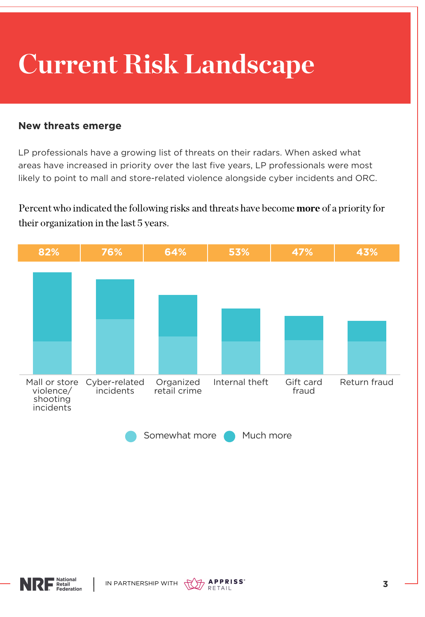# Current Risk Landscape

#### **New threats emerge**

LP professionals have a growing list of threats on their radars. When asked what areas have increased in priority over the last five years, LP professionals were most likely to point to mall and store-related violence alongside cyber incidents and ORC.

Percent who indicated the following risks and threats have become more of a priority for their organization in the last 5 years.





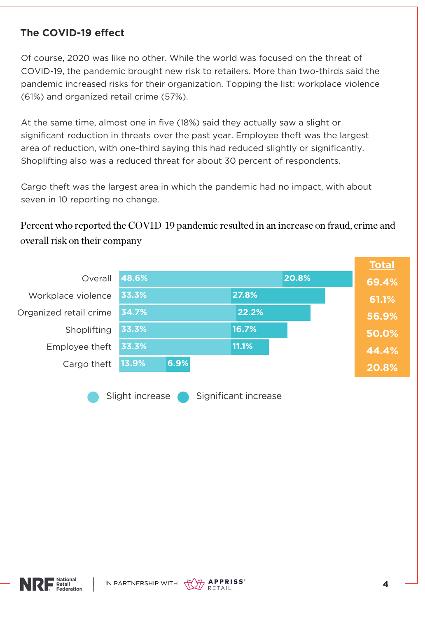#### **The COVID-19 effect**

Of course, 2020 was like no other. While the world was focused on the threat of COVID-19, the pandemic brought new risk to retailers. More than two-thirds said the pandemic increased risks for their organization. Topping the list: workplace violence (61%) and organized retail crime (57%).

At the same time, almost one in five (18%) said they actually saw a slight or significant reduction in threats over the past year. Employee theft was the largest area of reduction, with one-third saying this had reduced slightly or significantly. Shoplifting also was a reduced threat for about 30 percent of respondents.

Cargo theft was the largest area in which the pandemic had no impact, with about seven in 10 reporting no change.

Percent who reported the COVID-19 pandemic resulted in an increase on fraud, crime and overall risk on their company





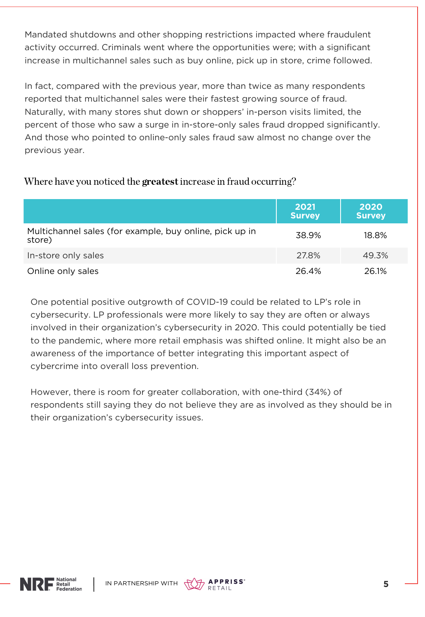Mandated shutdowns and other shopping restrictions impacted where fraudulent activity occurred. Criminals went where the opportunities were; with a significant increase in multichannel sales such as buy online, pick up in store, crime followed.

In fact, compared with the previous year, more than twice as many respondents reported that multichannel sales were their fastest growing source of fraud. Naturally, with many stores shut down or shoppers' in-person visits limited, the percent of those who saw a surge in in-store-only sales fraud dropped significantly. And those who pointed to online-only sales fraud saw almost no change over the previous year.

#### Where have you noticed the **greatest** increase in fraud occurring?

|                                                                   | 2021<br><b>Survey</b> | 2020<br><b>Survey</b> |
|-------------------------------------------------------------------|-----------------------|-----------------------|
| Multichannel sales (for example, buy online, pick up in<br>store) | 38.9%                 | 18.8%                 |
| In-store only sales                                               | 27.8%                 | 49.3%                 |
| Online only sales                                                 | 26.4%                 | 26.1%                 |

One potential positive outgrowth of COVID-19 could be related to LP's role in cybersecurity. LP professionals were more likely to say they are often or always involved in their organization's cybersecurity in 2020. This could potentially be tied to the pandemic, where more retail emphasis was shifted online. It might also be an awareness of the importance of better integrating this important aspect of cybercrime into overall loss prevention.

However, there is room for greater collaboration, with one-third (34%) of respondents still saying they do not believe they are as involved as they should be in their organization's cybersecurity issues.



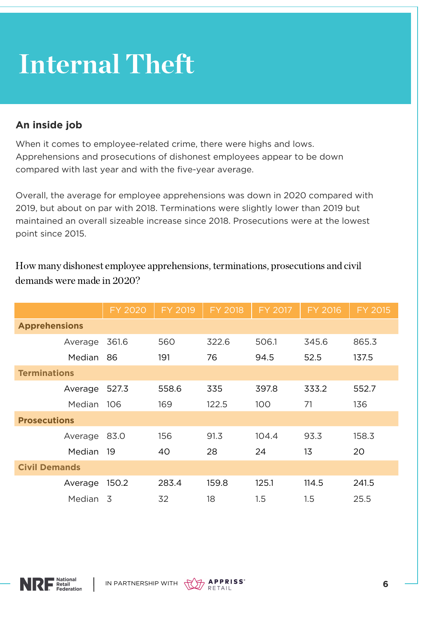### Internal Theft

#### **An inside job**

When it comes to employee-related crime, there were highs and lows. Apprehensions and prosecutions of dishonest employees appear to be down compared with last year and with the five-year average.

Overall, the average for employee apprehensions was down in 2020 compared with 2019, but about on par with 2018. Terminations were slightly lower than 2019 but maintained an overall sizeable increase since 2018. Prosecutions were at the lowest point since 2015.

|                      | <b>FY 2020</b> | FY 2019 | <b>FY 2018</b> | FY 2017 | <b>FY 2016</b> | FY 2015 |
|----------------------|----------------|---------|----------------|---------|----------------|---------|
| <b>Apprehensions</b> |                |         |                |         |                |         |
| Average              | 361.6          | 560     | 322.6          | 506.1   | 345.6          | 865.3   |
| <b>Median</b>        | 86             | 191     | 76             | 94.5    | 52.5           | 137.5   |
| <b>Terminations</b>  |                |         |                |         |                |         |
| Average              | 527.3          | 558.6   | 335            | 397.8   | 333.2          | 552.7   |
| Median               | 106            | 169     | 122.5          | 100     | 71             | 136     |
| <b>Prosecutions</b>  |                |         |                |         |                |         |
| Average              | 83.0           | 156     | 91.3           | 104.4   | 93.3           | 158.3   |
| <b>Median</b>        | 19             | 40      | 28             | 24      | 13             | 20      |
| <b>Civil Demands</b> |                |         |                |         |                |         |
| Average              | 150.2          | 283.4   | 159.8          | 125.1   | 114.5          | 241.5   |
| Median               | $\overline{3}$ | 32      | 18             | 1.5     | 1.5            | 25.5    |

How many dishonest employee apprehensions, terminations, prosecutions and civil demands were made in 2020?



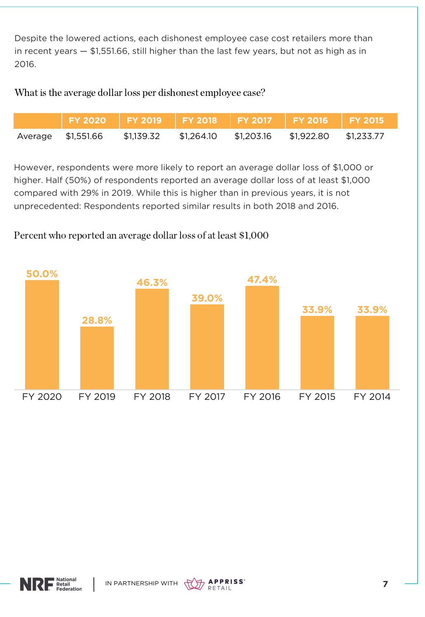Despite the lowered actions, each dishonest employee case cost retailers more than in recent years — \$1,551.66, still higher than the last few years, but not as high as in 2016.

What is the average dollar loss per dishonest employee case?

| FY 2020   FY 2019   FY 2018   FY 2017   FY 2016   FY 2015 |            |            |                       |            |
|-----------------------------------------------------------|------------|------------|-----------------------|------------|
| Average \$1,551.66                                        | \$1,139.32 | \$1.264.10 | \$1,203.16 \$1,922.80 | \$1.233.77 |

However, respondents were more likely to report an average dollar loss of \$1,000 or higher. Half (50%) of respondents reported an average dollar loss of at least \$1,000 compared with 29% in 2019. While this is higher than in previous years, it is not unprecedented: Respondents reported similar results in both 2018 and 2016.

FY 2020 FY 2019 FY 2018 FY 2017 FY 2016 FY 2015 FY 2014 **50.0% 28.8% 46.3% 39.0% 47.4% 33.9% 33.9%**

Percent who reported an average dollar loss of at least \$1,000



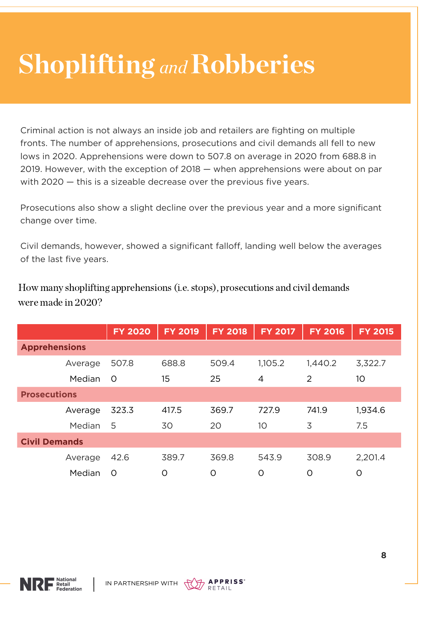### **Shoplifting and Robberies**

Criminal action is not always an inside job and retailers are fighting on multiple fronts. The number of apprehensions, prosecutions and civil demands all fell to new lows in 2020. Apprehensions were down to 507.8 on average in 2020 from 688.8 in 2019. However, with the exception of 2018 — when apprehensions were about on par with 2020 – this is a sizeable decrease over the previous five years.

Prosecutions also show a slight decline over the previous year and a more significant change over time.

Civil demands, however, showed a significant falloff, landing well below the averages of the last five years.

How many shoplifting apprehensions (i.e. stops), prosecutions and civil demands were made in 2020?

|                      | <b>FY 2020</b> | <b>FY 2019</b> | <b>FY 2018</b> | <b>FY 2017</b> | <b>FY 2016</b> | <b>FY 2015</b> |
|----------------------|----------------|----------------|----------------|----------------|----------------|----------------|
| <b>Apprehensions</b> |                |                |                |                |                |                |
| Average              | 507.8          | 688.8          | 509.4          | 1,105.2        | 1,440.2        | 3,322.7        |
| <b>Median</b>        | $\circ$        | 15             | 25             | $\overline{4}$ | $\overline{2}$ | 10             |
| <b>Prosecutions</b>  |                |                |                |                |                |                |
| Average              | 323.3          | 417.5          | 369.7          | 727.9          | 741.9          | 1,934.6        |
| <b>Median</b>        | 5              | 30             | 20             | 10             | 3              | 7.5            |
| <b>Civil Demands</b> |                |                |                |                |                |                |
| Average              | 42.6           | 389.7          | 369.8          | 543.9          | 308.9          | 2,201.4        |
| Median               | $\circ$        | $\circ$        | $\Omega$       | $\circ$        | O              | $\circ$        |



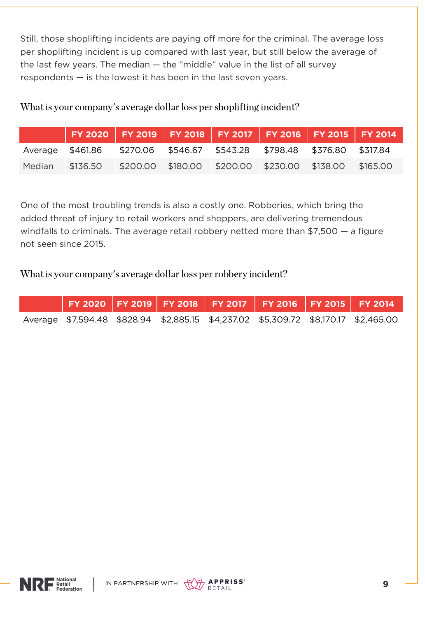Still, those shoplifting incidents are paying off more for the criminal. The average loss per shoplifting incident is up compared with last year, but still below the average of the last few years. The median — the "middle" value in the list of all survey respondents — is the lowest it has been in the last seven years.

What is your company's average dollar loss per shoplifting incident?

| $\mid$ FY 2020 $\mid$ FY 2019 $\mid$ FY 2018 $\mid$ FY 2017 $\mid$ FY 2016 $\mid$ FY 2015 $\mid$ FY 2014 $\mid$ |  |  |  |
|-----------------------------------------------------------------------------------------------------------------|--|--|--|
| Average \$461.86 \$270.06 \$546.67 \$543.28 \$798.48 \$376.80 \$317.84                                          |  |  |  |
| Median \$136.50 \$200.00 \$180.00 \$200.00 \$230.00 \$138.00 \$165.00                                           |  |  |  |

One of the most troubling trends is also a costly one. Robberies, which bring the added threat of injury to retail workers and shoppers, are delivering tremendous windfalls to criminals. The average retail robbery netted more than \$7,500 — a figure not seen since 2015.

What is your company's average dollar loss per robbery incident?

|  |  | FY 2020   FY 2019   FY 2018   FY 2017   FY 2016   FY 2015   FY 2014 |                                                                                    |
|--|--|---------------------------------------------------------------------|------------------------------------------------------------------------------------|
|  |  |                                                                     | Average \$7,594.48 \$828.94 \$2,885.15 \$4,237.02 \$5,309.72 \$8,170.17 \$2,465.00 |



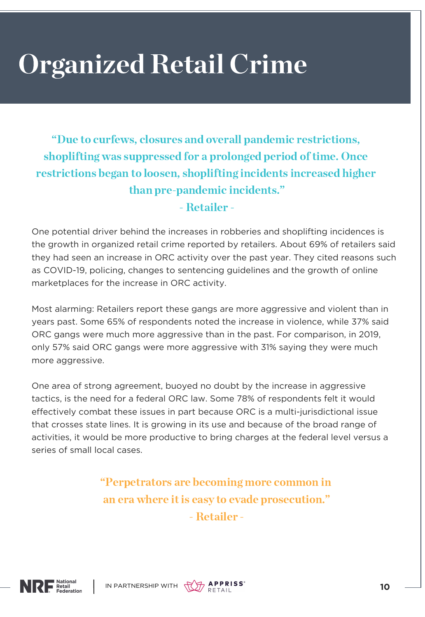# Organized Retail Crime

"Due to curfews, closures and overall pandemic restrictions, shoplifting was suppressed for a prolonged period of time. Once restrictions began to loosen, shoplifting incidents increased higher than pre-pandemic incidents."

- Retailer -

One potential driver behind the increases in robberies and shoplifting incidences is the growth in organized retail crime reported by retailers. About 69% of retailers said they had seen an increase in ORC activity over the past year. They cited reasons such as COVID-19, policing, changes to sentencing guidelines and the growth of online marketplaces for the increase in ORC activity.

Most alarming: Retailers report these gangs are more aggressive and violent than in years past. Some 65% of respondents noted the increase in violence, while 37% said ORC gangs were much more aggressive than in the past. For comparison, in 2019, only 57% said ORC gangs were more aggressive with 31% saying they were much more aggressive.

One area of strong agreement, buoyed no doubt by the increase in aggressive tactics, is the need for a federal ORC law. Some 78% of respondents felt it would effectively combat these issues in part because ORC is a multi-jurisdictional issue that crosses state lines. It is growing in its use and because of the broad range of activities, it would be more productive to bring charges at the federal level versus a series of small local cases.

> "Perpetrators are becoming more common in an era where it is easy to evade prosecution." - Retailer -



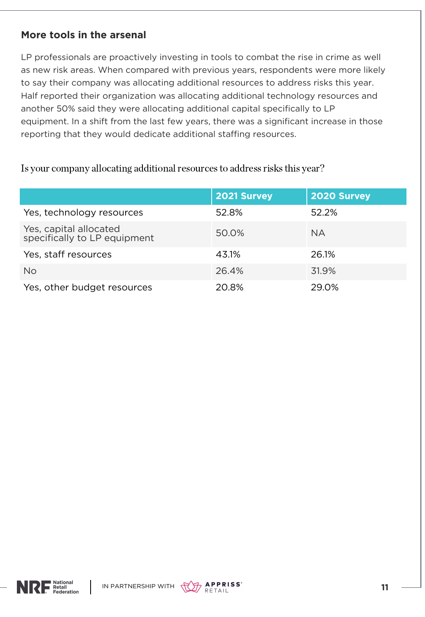#### **More tools in the arsenal**

LP professionals are proactively investing in tools to combat the rise in crime as well as new risk areas. When compared with previous years, respondents were more likely to say their company was allocating additional resources to address risks this year. Half reported their organization was allocating additional technology resources and another 50% said they were allocating additional capital specifically to LP equipment. In a shift from the last few years, there was a significant increase in those reporting that they would dedicate additional staffing resources.

Is your company allocating additional resources to address risks this year?

|                                                        | 2021 Survey | 2020 Survey |
|--------------------------------------------------------|-------------|-------------|
| Yes, technology resources                              | 52.8%       | 52.2%       |
| Yes, capital allocated<br>specifically to LP equipment | 50.0%       | <b>NA</b>   |
| Yes, staff resources                                   | 43.1%       | 26.1%       |
| <b>No</b>                                              | 26.4%       | 31.9%       |
| Yes, other budget resources                            | 20.8%       | 29.0%       |



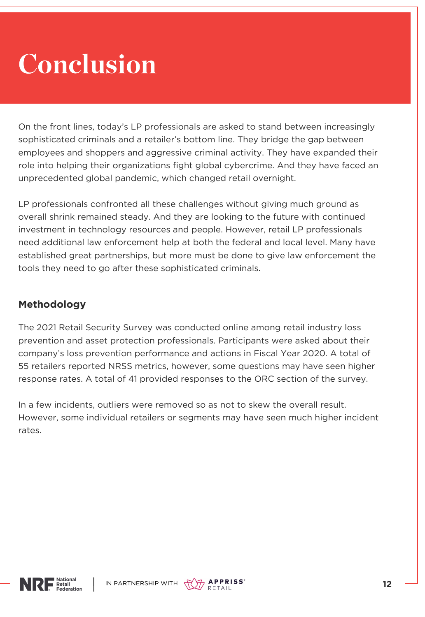## Conclusion

On the front lines, today's LP professionals are asked to stand between increasingly sophisticated criminals and a retailer's bottom line. They bridge the gap between employees and shoppers and aggressive criminal activity. They have expanded their role into helping their organizations fight global cybercrime. And they have faced an unprecedented global pandemic, which changed retail overnight.

LP professionals confronted all these challenges without giving much ground as overall shrink remained steady. And they are looking to the future with continued investment in technology resources and people. However, retail LP professionals need additional law enforcement help at both the federal and local level. Many have established great partnerships, but more must be done to give law enforcement the tools they need to go after these sophisticated criminals.

#### **Methodology**

The 2021 Retail Security Survey was conducted online among retail industry loss prevention and asset protection professionals. Participants were asked about their company's loss prevention performance and actions in Fiscal Year 2020. A total of 55 retailers reported NRSS metrics, however, some questions may have seen higher response rates. A total of 41 provided responses to the ORC section of the survey.

In a few incidents, outliers were removed so as not to skew the overall result. However, some individual retailers or segments may have seen much higher incident rates.



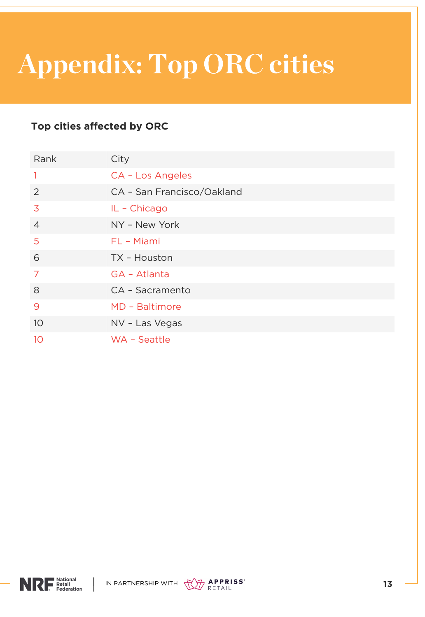# Appendix: Top ORC cities

#### **Top cities affected by ORC**

| Rank            | City                       |
|-----------------|----------------------------|
| $\mathbf{1}$    | CA - Los Angeles           |
| 2               | CA - San Francisco/Oakland |
| $\overline{3}$  | IL - Chicago               |
| $\overline{4}$  | NY - New York              |
| 5               | FL - Miami                 |
| 6               | TX - Houston               |
| 7               | GA - Atlanta               |
| 8               | CA - Sacramento            |
| 9               | MD - Baltimore             |
| 10 <sup>°</sup> | NV - Las Vegas             |
| 10              | WA - Seattle               |